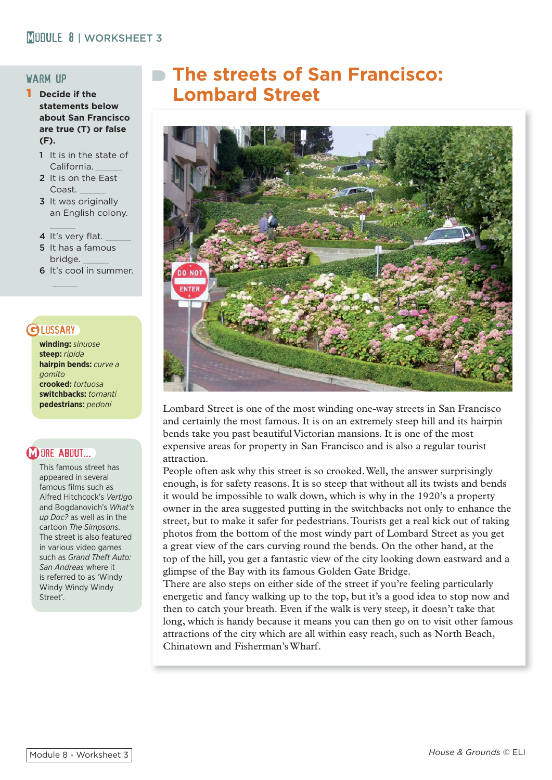## warm up

- 1 **Decide if the statements below about San Francisco are true (T) or false (F).**
	- 1 It is in the state of California.
	- 2 It is on the East Coast. \_\_\_\_\_
	- 3 It was originally an English colony.
	- 4 It's very flat.
	- 5 It has a famous bridge.
	- 6 It's cool in summer.

# **GLOSSARY**

**winding:** *sinuose* **steep:** *ripida* **hairpin bends:** *curve a gomito* **crooked:** *tortuosa* **switchbacks:** *tornanti* **pedestrians:** *pedoni*

# **MORE ABOUT.**

This famous street has appeared in several famous films such as Alfred Hitchcock's *Vertigo* and Bogdanovich's *What's up Doc?* as well as in the cartoon *The Simpsons*. The street is also featured in various video games such as *Grand Theft Auto: San Andreas* where it is referred to as 'Windy Windy Windy Windy Street'.

# **The streets of San Francisco: Lombard Street**



Lombard Street is one of the most winding one-way streets in San Francisco and certainly the most famous. It is on an extremely steep hill and its hairpin bends take you past beautiful Victorian mansions. It is one of the most expensive areas for property in San Francisco and is also a regular tourist attraction.

People often ask why this street is so crooked. Well, the answer surprisingly enough, is for safety reasons. It is so steep that without all its twists and bends it would be impossible to walk down, which is why in the 1920's a property owner in the area suggested putting in the switchbacks not only to enhance the street, but to make it safer for pedestrians. Tourists get a real kick out of taking photos from the bottom of the most windy part of Lombard Street as you get a great view of the cars curving round the bends. On the other hand, at the top of the hill, you get a fantastic view of the city looking down eastward and a glimpse of the Bay with its famous Golden Gate Bridge.

There are also steps on either side of the street if you're feeling particularly energetic and fancy walking up to the top, but it's a good idea to stop now and then to catch your breath. Even if the walk is very steep, it doesn't take that long, which is handy because it means you can then go on to visit other famous attractions of the city which are all within easy reach, such as North Beach, Chinatown and Fisherman's Wharf.